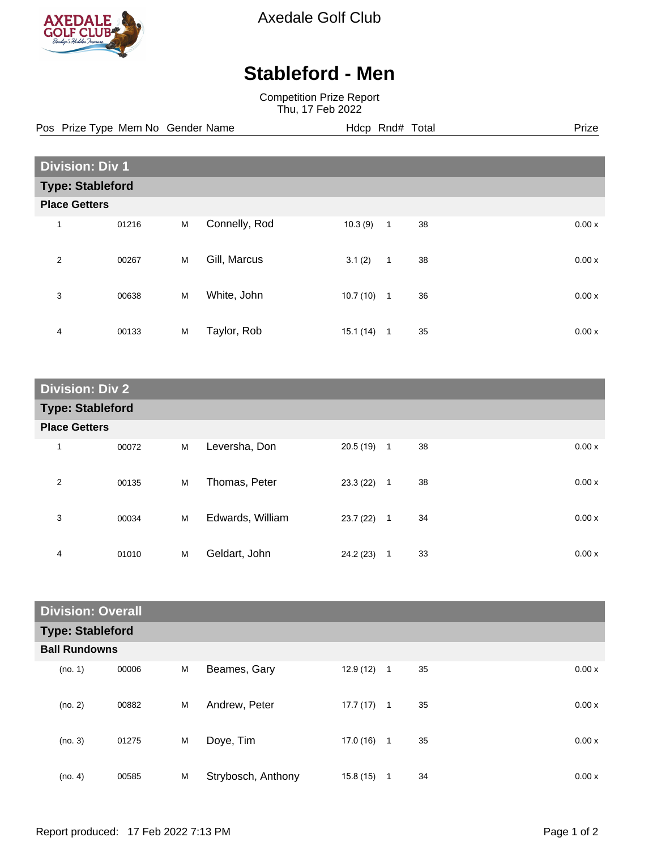

Axedale Golf Club

## **Stableford - Men**

Competition Prize Report Thu, 17 Feb 2022

Pos Prize Type Mem No Gender Name **Hdcp Rnd# Total** Prize Prize

| <b>Division: Div 1</b>  |       |   |               |           |                |    |  |       |
|-------------------------|-------|---|---------------|-----------|----------------|----|--|-------|
| <b>Type: Stableford</b> |       |   |               |           |                |    |  |       |
| <b>Place Getters</b>    |       |   |               |           |                |    |  |       |
| 1                       | 01216 | M | Connelly, Rod | 10.3(9)   | $\mathbf{1}$   | 38 |  | 0.00x |
| 2                       | 00267 | M | Gill, Marcus  | 3.1(2)    | $\mathbf{1}$   | 38 |  | 0.00x |
| 3                       | 00638 | M | White, John   | 10.7(10)  | $\overline{1}$ | 36 |  | 0.00x |
| 4                       | 00133 | M | Taylor, Rob   | 15.1 (14) | $\overline{1}$ | 35 |  | 0.00x |

| <b>Division: Div 2</b>  |       |   |                  |              |                |    |       |
|-------------------------|-------|---|------------------|--------------|----------------|----|-------|
| <b>Type: Stableford</b> |       |   |                  |              |                |    |       |
| <b>Place Getters</b>    |       |   |                  |              |                |    |       |
| 1                       | 00072 | M | Leversha, Don    | $20.5(19)$ 1 |                | 38 | 0.00x |
| 2                       | 00135 | М | Thomas, Peter    | 23.3(22)     | $\overline{1}$ | 38 | 0.00x |
| 3                       | 00034 | M | Edwards, William | 23.7(22)     | $\overline{1}$ | 34 | 0.00x |
| 4                       | 01010 | M | Geldart, John    | 24.2 (23)    | $\mathbf{1}$   | 33 | 0.00x |

| <b>Division: Overall</b> |       |   |                    |           |                |    |       |
|--------------------------|-------|---|--------------------|-----------|----------------|----|-------|
| <b>Type: Stableford</b>  |       |   |                    |           |                |    |       |
| <b>Ball Rundowns</b>     |       |   |                    |           |                |    |       |
| (no. 1)                  | 00006 | M | Beames, Gary       | 12.9(12)  | $\overline{1}$ | 35 | 0.00x |
| (no. 2)                  | 00882 | M | Andrew, Peter      | 17.7 (17) | $\overline{1}$ | 35 | 0.00x |
| (no. 3)                  | 01275 | M | Doye, Tim          | 17.0 (16) | $\overline{1}$ | 35 | 0.00x |
| (no. 4)                  | 00585 | M | Strybosch, Anthony | 15.8(15)  | 1              | 34 | 0.00x |